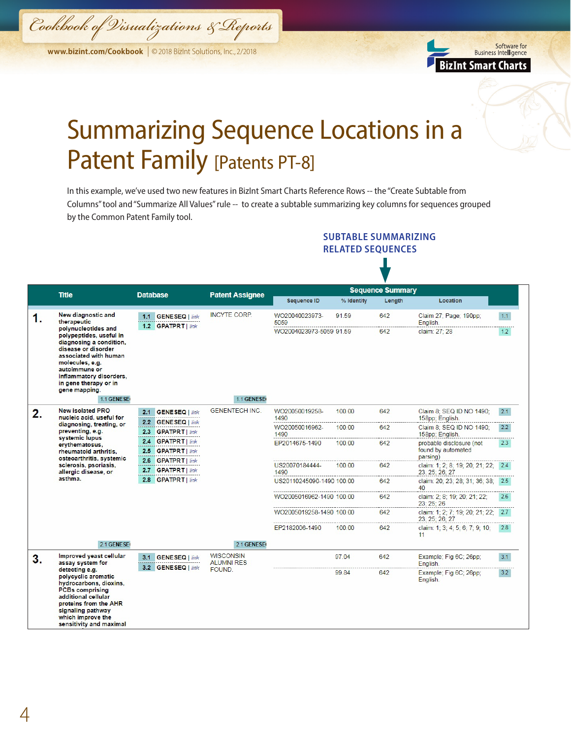**www.bizint.com/Cookbook** | © 2018 BizInt Solutions, Inc., 2/2018

*Cookbook of Visualizations & Reports*

Software for<br>Business Intelligence **BizInt Smart Charts** 

# Summarizing Sequence Locations in a Patent Family [Patents PT-8]

In this example, we've used two new features in BizInt Smart Charts Reference Rows -- the "Create Subtable from Columns" tool and "Summarize All Values" rule -- to create a subtable summarizing key columns for sequences grouped by the Common Patent Family tool.

#### **SUBTABLE SUMMARIZING RELATED SEQUENCES**

|    | Title                                                                                                                                                                                                                                                         | <b>Database</b>                          | <b>Patent Assignee</b>                          | <b>Sequence Summary</b>   |            |          |                                                       |                |
|----|---------------------------------------------------------------------------------------------------------------------------------------------------------------------------------------------------------------------------------------------------------------|------------------------------------------|-------------------------------------------------|---------------------------|------------|----------|-------------------------------------------------------|----------------|
|    |                                                                                                                                                                                                                                                               |                                          |                                                 | Sequence ID               | % Identity | Length   | Location                                              |                |
| 1. | New diagnostic and<br>therapeutic                                                                                                                                                                                                                             | 1.1 GENESEQ   link<br>1.2 GPATPRT   link | <b>INCYTE CORP.</b>                             | WO20040023973-<br>5059    | 91.59      | 642      | Claim 27; Page; 190pp;<br>English.                    | 1.1            |
|    | polynucleotides and<br>polypeptides, useful in<br>diagnosing a condition,<br>disease or disorder<br>associated with human<br>molecules, e.g.<br>autoimmune or<br>inflammatory disorders,<br>in gene therapy or in<br>gene mapping.<br>1.1 GENESE              |                                          | 1.1 GENESE                                      | WO2004023973-5059 91.59   |            | 642      | claim: 27; 28                                         | 1.2            |
|    | <b>New isolated PRO</b>                                                                                                                                                                                                                                       |                                          | <b>GENENTECH INC.</b>                           | WO20050019258-            | 100.00     | 642      | Claim 8: SEQ ID NO 1490:                              | 2.1            |
| 2. | nucleic acid, useful for<br>diagnosing, treating, or<br>preventing, e.g.<br>systemic lupus<br>erythematosus,<br>rheumatoid arthritis.<br>osteoarthritis, systemic<br>sclerosis, psoriasis,<br>allergic disease, or<br>asthma.                                 | 2.1 GENESEQ   link<br>2.2 GENESEQ   link |                                                 | 1490                      |            |          | 158pp; English.                                       |                |
|    |                                                                                                                                                                                                                                                               | 2.3 GPATPRT   link                       |                                                 | WO20050016962-<br>1490    | 100.00     | 642      | Claim 8: SEQ ID NO 1490:<br>158pp: English.           | 2.2            |
|    |                                                                                                                                                                                                                                                               | 2.4 GPATPRT   link                       |                                                 | EP2014675-1490            | 100.00     | 642      | probable disclosure (not                              | -------<br>2.3 |
|    |                                                                                                                                                                                                                                                               | 2.5 GPATPRT   link<br>2.6 GPATPRT   link |                                                 |                           |            |          | found by automated<br>parsing)                        |                |
|    |                                                                                                                                                                                                                                                               | 2.7 <b>GPATPRT</b>   link                |                                                 | US20070184444-<br>1490    | 100.00     | 642      | claim: 1; 2; 8; 19; 20; 21; 22; 2.4<br>23: 25: 26: 27 |                |
|    |                                                                                                                                                                                                                                                               | 2.8 GPATPRT   link                       |                                                 | US20110245090-1490 100 00 |            | .<br>642 | claim: 20; 23; 28; 31; 36; 38; 2.5<br>40              |                |
|    |                                                                                                                                                                                                                                                               |                                          |                                                 | WO2005016962-1490 100.00  |            | 642      | claim: 2; 8; 19; 20; 21; 22;<br>23:25:26              | 2.6            |
|    |                                                                                                                                                                                                                                                               |                                          |                                                 | WO2005019258-1490 100.00  |            | 642      | claim: 1; 2; 7; 19; 20; 21; 22; 2.7<br>23; 25; 26; 27 |                |
|    |                                                                                                                                                                                                                                                               |                                          |                                                 | EP2182006-1490            | 100.00     | 642      | claim: 1; 3; 4; 5; 6; 7; 9; 10;<br>11                 | 2.8            |
|    | 2.1 GENESE                                                                                                                                                                                                                                                    |                                          | 2.1 GENESE                                      |                           |            |          |                                                       |                |
| 3. | Improved yeast cellular<br>assay system for<br>detecting e.g.<br>polycyclic aromatic<br>hydrocarbons, dioxins,<br><b>PCBs comprising</b><br>additional cellular<br>proteins from the AHR<br>signaling pathway<br>which improve the<br>sensitivity and maximal | 3.1 GENESEQ   link<br>3.2 GENESEQ   link | <b>WISCONSIN</b><br><b>ALUMNI RES</b><br>FOUND. |                           | 97.04      | 642      | Example: Fig 6C; 26pp;<br>English.                    | 3.1            |
|    |                                                                                                                                                                                                                                                               |                                          |                                                 |                           | 99.84      | 642      | Example: Fig 6C; 26pp;<br>English.                    | 3.2            |